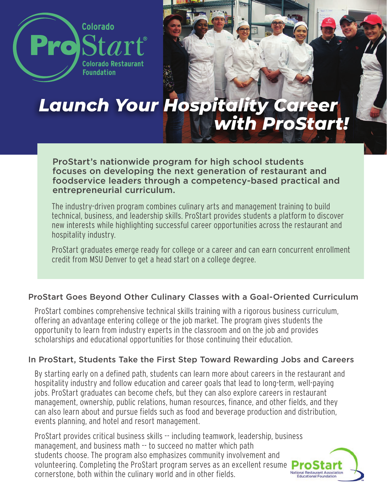

# *Launch Your Hospitality Career with ProStart!*

ProStart's nationwide program for high school students focuses on developing the next generation of restaurant and foodservice leaders through a competency-based practical and entrepreneurial curriculum.

The industry-driven program combines culinary arts and management training to build technical, business, and leadership skills. ProStart provides students a platform to discover new interests while highlighting successful career opportunities across the restaurant and hospitality industry.

ProStart graduates emerge ready for college or a career and can earn concurrent enrollment credit from MSU Denver to get a head start on a college degree.

#### ProStart Goes Beyond Other Culinary Classes with a Goal-Oriented Curriculum

ProStart combines comprehensive technical skills training with a rigorous business curriculum, offering an advantage entering college or the job market. The program gives students the opportunity to learn from industry experts in the classroom and on the job and provides scholarships and educational opportunities for those continuing their education.

#### In ProStart, Students Take the First Step Toward Rewarding Jobs and Careers

By starting early on a defined path, students can learn more about careers in the restaurant and hospitality industry and follow education and career goals that lead to long-term, well-paying jobs. ProStart graduates can become chefs, but they can also explore careers in restaurant management, ownership, public relations, human resources, finance, and other fields, and they can also learn about and pursue fields such as food and beverage production and distribution, events planning, and hotel and resort management.

ProStart provides critical business skills -- including teamwork, leadership, business management, and business math -- to succeed no matter which path students choose. The program also emphasizes community involvement and volunteering. Completing the ProStart program serves as an excellent resume  $\sum_{\text{National Research}\\ \text{Statistical Posturant.}\atop \text{Reductional Festaurant.}\atop \text{Reductional Festaurant.}}$ cornerstone, both within the culinary world and in other fields.